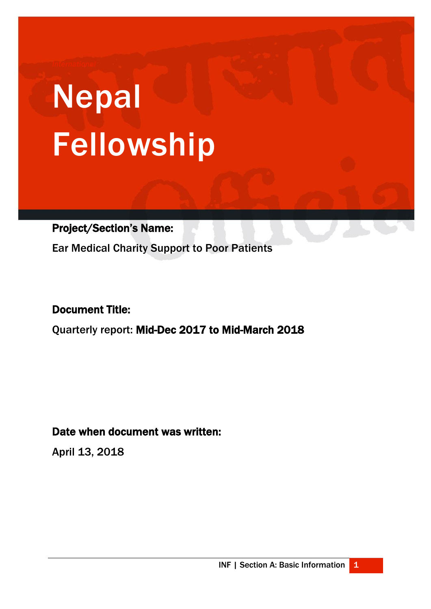# Nepal Fellowship

Project/Section's Name:

Ear Medical Charity Support to Poor Patients

# Document Title:

ł

Quarterly report: Mid-Dec 2017 to Mid-March 2018

Date when document was written:

April 13, 2018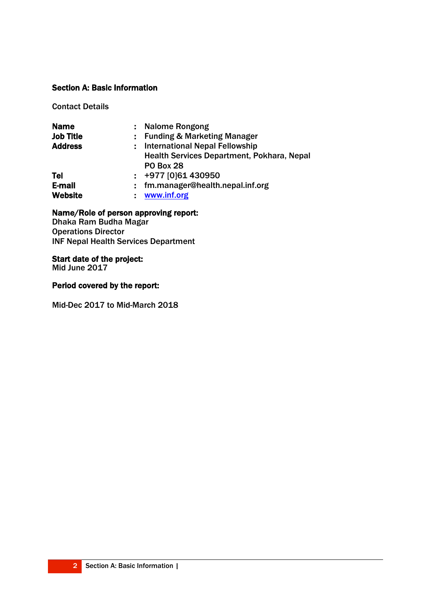# Section A: Basic Information

Contact Details

| <b>Name</b>      | <b>Nalome Rongong</b>                      |
|------------------|--------------------------------------------|
| <b>Job Title</b> | <b>Funding &amp; Marketing Manager</b>     |
| <b>Address</b>   | <b>International Nepal Fellowship</b>      |
|                  | Health Services Department, Pokhara, Nepal |
|                  | <b>PO Box 28</b>                           |
| Tel              | $\div$ +977 [0]61 430950                   |
| E-mail           | fm.manager@health.nepal.inf.org            |
| <b>Website</b>   | www.inf.org                                |

# Name/Role of person approving report:

Dhaka Ram Budha Magar Operations Director INF Nepal Health Services Department

#### Start date of the project:

Mid June 2017

#### Period covered by the report:

Mid-Dec 2017 to Mid-March 2018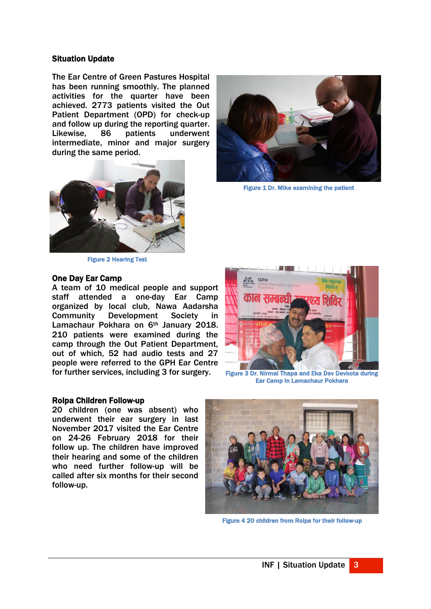#### Situation Update

The Ear Centre of Green Pastures Hospital has been running smoothly. The planned activities for the quarter have been achieved. 2773 patients visited the Out Patient Department (OPD) for check-up and follow up during the reporting quarter. Likewise, 86 patients underwent intermediate, minor and major surgery during the same period.



Figure 2 Hearing Test

#### One Day Ear Camp

A team of 10 medical people and support staff attended a one-day Ear Camp organized by local club, Nawa Aadarsha Community Development Society in Lamachaur Pokhara on 6<sup>th</sup> January 2018. 210 patients were examined during the camp through the Out Patient Department, out of which, 52 had audio tests and 27 people were referred to the GPH Ear Centre for further services, including 3 for surgery.



Figure 1 Dr. Mike examining the patient



Figure 3 Dr. Nirmal Thapa and Eka Dev Devkota during Ear Camp in Lamachaur Pokhara

#### Rolpa Children Follow-up

20 children (one was absent) who underwent their ear surgery in last November 2017 visited the Ear Centre on 24-26 February 2018 for their follow up. The children have improved their hearing and some of the children who need further follow-up will be called after six months for their second follow-up.



Figure 4 20 children from Rolpa for their follow-up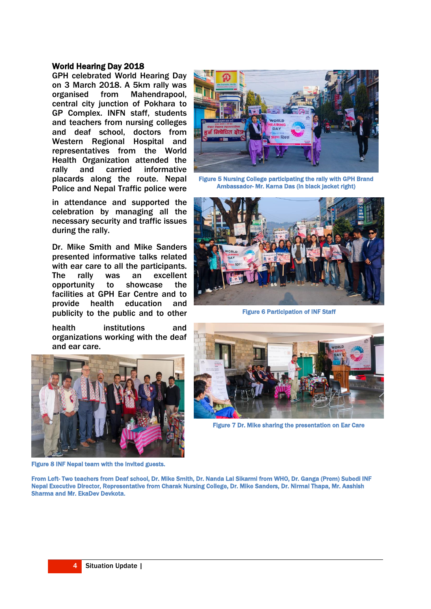#### World Hearing Day 2018

GPH celebrated World Hearing Day on 3 March 2018. A 5km rally was organised from Mahendrapool, central city junction of Pokhara to GP Complex. INFN staff, students and teachers from nursing colleges and deaf school, doctors from Western Regional Hospital and representatives from the World Health Organization attended the rally and carried informative placards along the route. Nepal Police and Nepal Traffic police were

in attendance and supported the celebration by managing all the necessary security and traffic issues during the rally.

Dr. Mike Smith and Mike Sanders presented informative talks related with ear care to all the participants.<br>The rally was an excellent The rally was an excellent opportunity to showcase the facilities at GPH Ear Centre and to provide health education and publicity to the public and to other

health institutions and organizations working with the deaf and ear care.



Figure 8 INF Nepal team with the invited guests.



Figure 5 Nursing College participating the rally with GPH Brand Ambassador- Mr. Karna Das (in black jacket right)



Figure 6 Participation of INF Staff



Figure 7 Dr. Mike sharing the presentation on Ear Care

From Left- Two teachers from Deaf school, Dr. Mike Smith, Dr. Nanda Lal Sikarmi from WHO, Dr. Ganga (Prem) Subedi INF Nepal Executive Director, Representative from Charak Nursing College, Dr. Mike Sanders, Dr. Nirmal Thapa, Mr. Aashish Sharma and Mr. EkaDev Devkota.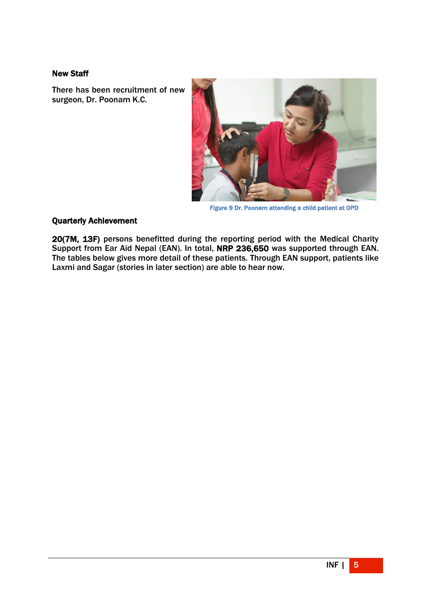## New Staff

There has been recruitment of new surgeon, Dr. Poonam K.C.



Figure 9 Dr. Poonam attending a child patient at OPD

## Quarterly Achievement

20(7M, 13F) persons benefitted during the reporting period with the Medical Charity Support from Ear Aid Nepal (EAN). In total, NRP 236,650 was supported through EAN. The tables below gives more detail of these patients. Through EAN support, patients like Laxmi and Sagar (stories in later section) are able to hear now.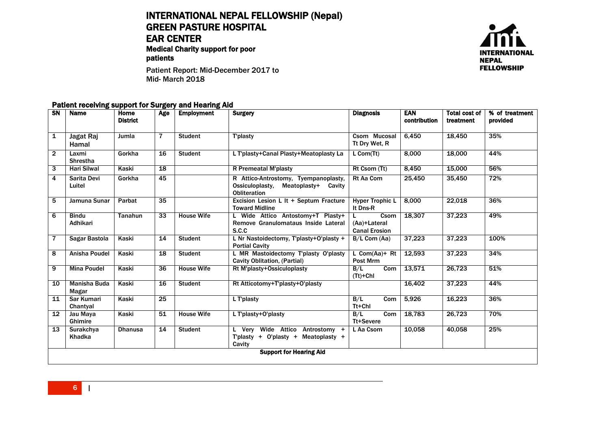# INTERNATIONAL NEPAL FELLOWSHIP (Nepal) GREEN PASTURE HOSPITAL EAR CENTER

Medical Charity support for poor patients



Patient Report: Mid-December 2017 to Mid- March 2018

#### Patient receiving support for Surgery and Hearing Aid

| <b>SN</b>      | <b>Name</b>                    | Home<br><b>District</b> | Age             | <b>Employment</b> | <b>Surgery</b>                                                                                        | <b>Diagnosis</b>                             | <b>EAN</b><br>contribution | <b>Total cost of</b><br>treatment | % of treatment<br>provided |
|----------------|--------------------------------|-------------------------|-----------------|-------------------|-------------------------------------------------------------------------------------------------------|----------------------------------------------|----------------------------|-----------------------------------|----------------------------|
|                |                                |                         |                 |                   |                                                                                                       |                                              |                            |                                   |                            |
| 1              | Jagat Raj<br>Hamal             | Jumla                   | 7               | <b>Student</b>    | T'plasty                                                                                              | Csom Mucosal<br>Tt Dry Wet, R                | 6,450                      | 18,450                            | 35%                        |
| $\overline{2}$ | Laxmi<br><b>Shrestha</b>       | Gorkha                  | 16              | <b>Student</b>    | L T'plasty+Canal Plasty+Meatoplasty La                                                                | L Com(Tt)                                    | 8.000                      | 18,000                            | 44%                        |
| 3              | <b>Hari Silwal</b>             | Kaski                   | 18              |                   | R Premeatal M'plasty                                                                                  | Rt Csom (Tt)                                 | 8,450                      | 15,000                            | 56%                        |
| 4              | Sarita Devi<br>Luitel          | Gorkha                  | 45              |                   | R Attico-Antrostomy, Tyempanoplasty,<br>Ossiculoplasty,<br>Meatoplasty+ Cavity<br><b>Obliteration</b> | <b>Rt Aa Com</b>                             | 25,450                     | 35,450                            | 72%                        |
| 5              | Jamuna Sunar                   | Parbat                  | 35              |                   | Excision Lesion L It + Septum Fracture<br><b>Toward Midline</b>                                       | <b>Hyper Trophic L</b><br>It Dns-R           | 8.000                      | 22,018                            | 36%                        |
| 6              | <b>Bindu</b><br>Adhikari       | <b>Tanahun</b>          | 33              | <b>House Wife</b> | L Wide Attico Antostomy+T Plasty+<br>Remove Granulomataus Inside Lateral<br>S.C.C                     | Csom<br>(Aa)+Lateral<br><b>Canal Erosion</b> | 18.307                     | 37,223                            | 49%                        |
| $\overline{7}$ | Sagar Bastola                  | Kaski                   | 14              | <b>Student</b>    | L Nr Nastoidectomy, T'plasty+O'plasty +<br><b>Portial Cavity</b>                                      | $B/L$ Com (Aa)                               | 37,223                     | 37,223                            | 100%                       |
| 8              | Anisha Poudel                  | Kaski                   | 18              | <b>Student</b>    | L MR Mastoidectomy T'plasty O'plasty<br><b>Cavity Oblitation, (Partial)</b>                           | L $Com(Aa)+Rt$<br>Post Mrm                   | 12,593                     | 37,223                            | 34%                        |
| 9              | <b>Mina Poudel</b>             | Kaski                   | $\overline{36}$ | <b>House Wife</b> | Rt M'plasty+Ossiculoplasty                                                                            | B/L<br>Com<br>$(Tt)+ChI$                     | 13,571                     | 26,723                            | 51%                        |
| 10             | Manisha Buda<br>Magar          | Kaski                   | 16              | <b>Student</b>    | Rt Atticotomy+T'plasty+0'plasty                                                                       |                                              | 16,402                     | 37,223                            | 44%                        |
| 11             | Sar Kumari<br>Chantyal         | Kaski                   | 25              |                   | L T'plasty                                                                                            | B/L<br>Com<br>Tt+Chl                         | 5,926                      | 16,223                            | 36%                        |
| 12             | Jau Maya<br>Ghimire            | Kaski                   | 51              | <b>House Wife</b> | L T'plasty+O'plasty                                                                                   | B/L<br>Com<br>Tt+Severe                      | 18,783                     | 26,723                            | 70%                        |
| 13             | Surakchya<br>Khadka            | <b>Dhanusa</b>          | 14              | <b>Student</b>    | Very Wide Attico Antrostomy +<br>L<br>T'plasty + O'plasty + Meatoplasty +<br>Cavity                   | L Aa Csom                                    | 10.058                     | 40.058                            | 25%                        |
|                | <b>Support for Hearing Aid</b> |                         |                 |                   |                                                                                                       |                                              |                            |                                   |                            |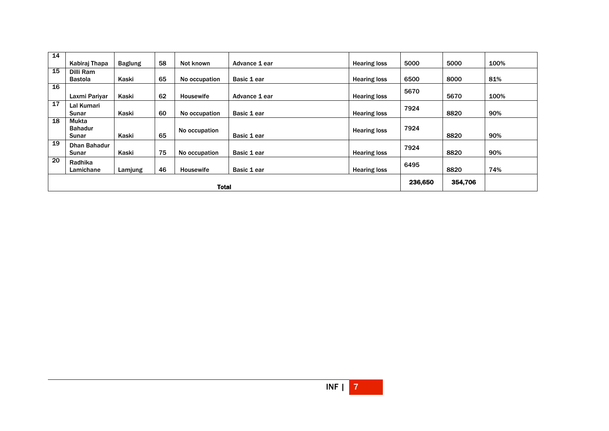| 14 |                              |                |    |               |               |                     |         |         |      |
|----|------------------------------|----------------|----|---------------|---------------|---------------------|---------|---------|------|
|    | Kabiraj Thapa                | <b>Baglung</b> | 58 | Not known     | Advance 1 ear | <b>Hearing loss</b> | 5000    | 5000    | 100% |
| 15 | Dilli Ram                    |                |    |               |               |                     |         |         |      |
|    | <b>Bastola</b>               | Kaski          | 65 | No occupation | Basic 1 ear   | <b>Hearing loss</b> | 6500    | 8000    | 81%  |
| 16 | Laxmi Pariyar                | Kaski          | 62 | Housewife     | Advance 1 ear | <b>Hearing loss</b> | 5670    | 5670    | 100% |
| 17 | Lal Kumari<br>Sunar          | Kaski          | 60 | No occupation | Basic 1 ear   | <b>Hearing loss</b> | 7924    | 8820    | 90%  |
| 18 | <b>Mukta</b>                 |                |    |               |               |                     |         |         |      |
|    | <b>Bahadur</b><br>Sunar      | Kaski          | 65 | No occupation | Basic 1 ear   | <b>Hearing loss</b> | 7924    | 8820    | 90%  |
| 19 | <b>Dhan Bahadur</b><br>Sunar | Kaski          | 75 | No occupation | Basic 1 ear   | <b>Hearing loss</b> | 7924    | 8820    | 90%  |
| 20 | Radhika<br>Lamichane         | Lamjung        | 46 | Housewife     | Basic 1 ear   | <b>Hearing loss</b> | 6495    | 8820    | 74%  |
|    | <b>Total</b>                 |                |    |               |               |                     | 236,650 | 354,706 |      |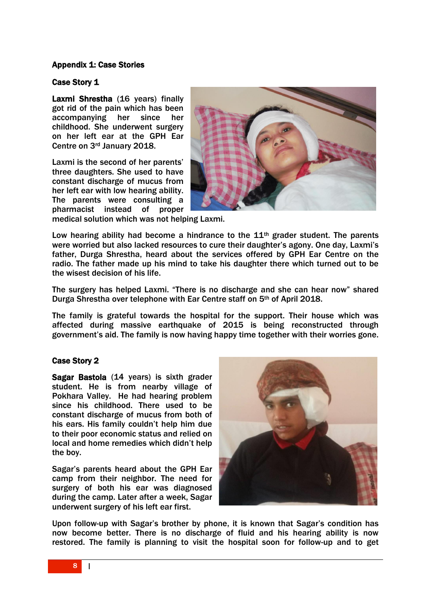# Appendix 1: Case Stories

## Case Story 1

Laxmi Shrestha (16 years) finally got rid of the pain which has been accompanying her since her childhood. She underwent surgery on her left ear at the GPH Ear Centre on 3rd January 2018.

Laxmi is the second of her parents' three daughters. She used to have constant discharge of mucus from her left ear with low hearing ability. The parents were consulting a pharmacist instead of proper



medical solution which was not helping Laxmi.

Low hearing ability had become a hindrance to the  $11<sup>th</sup>$  grader student. The parents were worried but also lacked resources to cure their daughter's agony. One day, Laxmi's father, Durga Shrestha, heard about the services offered by GPH Ear Centre on the radio. The father made up his mind to take his daughter there which turned out to be the wisest decision of his life.

The surgery has helped Laxmi. "There is no discharge and she can hear now" shared Durga Shrestha over telephone with Ear Centre staff on 5th of April 2018.

The family is grateful towards the hospital for the support. Their house which was affected during massive earthquake of 2015 is being reconstructed through government's aid. The family is now having happy time together with their worries gone.

# Case Story 2

Sagar Bastola (14 years) is sixth grader student. He is from nearby village of Pokhara Valley. He had hearing problem since his childhood. There used to be constant discharge of mucus from both of his ears. His family couldn't help him due to their poor economic status and relied on local and home remedies which didn't help the boy.

Sagar's parents heard about the GPH Ear camp from their neighbor. The need for surgery of both his ear was diagnosed during the camp. Later after a week, Sagar underwent surgery of his left ear first.



Upon follow-up with Sagar's brother by phone, it is known that Sagar's condition has now become better. There is no discharge of fluid and his hearing ability is now restored. The family is planning to visit the hospital soon for follow-up and to get